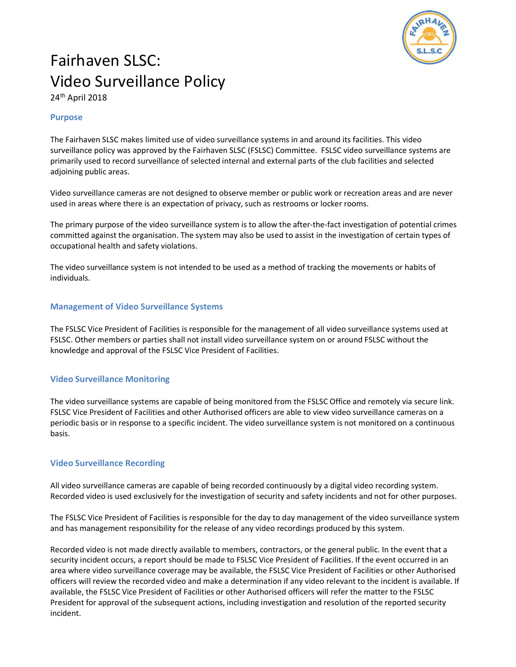

# Fairhaven SLSC: Video Surveillance Policy

24th April 2018

#### Purpose

The Fairhaven SLSC makes limited use of video surveillance systems in and around its facilities. This video surveillance policy was approved by the Fairhaven SLSC (FSLSC) Committee. FSLSC video surveillance systems are primarily used to record surveillance of selected internal and external parts of the club facilities and selected adjoining public areas.

Video surveillance cameras are not designed to observe member or public work or recreation areas and are never used in areas where there is an expectation of privacy, such as restrooms or locker rooms.

The primary purpose of the video surveillance system is to allow the after-the-fact investigation of potential crimes committed against the organisation. The system may also be used to assist in the investigation of certain types of occupational health and safety violations.

The video surveillance system is not intended to be used as a method of tracking the movements or habits of individuals.

#### Management of Video Surveillance Systems

The FSLSC Vice President of Facilities is responsible for the management of all video surveillance systems used at FSLSC. Other members or parties shall not install video surveillance system on or around FSLSC without the knowledge and approval of the FSLSC Vice President of Facilities.

#### Video Surveillance Monitoring

The video surveillance systems are capable of being monitored from the FSLSC Office and remotely via secure link. FSLSC Vice President of Facilities and other Authorised officers are able to view video surveillance cameras on a periodic basis or in response to a specific incident. The video surveillance system is not monitored on a continuous basis.

#### Video Surveillance Recording

All video surveillance cameras are capable of being recorded continuously by a digital video recording system. Recorded video is used exclusively for the investigation of security and safety incidents and not for other purposes.

The FSLSC Vice President of Facilities is responsible for the day to day management of the video surveillance system and has management responsibility for the release of any video recordings produced by this system.

Recorded video is not made directly available to members, contractors, or the general public. In the event that a security incident occurs, a report should be made to FSLSC Vice President of Facilities. If the event occurred in an area where video surveillance coverage may be available, the FSLSC Vice President of Facilities or other Authorised officers will review the recorded video and make a determination if any video relevant to the incident is available. If available, the FSLSC Vice President of Facilities or other Authorised officers will refer the matter to the FSLSC President for approval of the subsequent actions, including investigation and resolution of the reported security incident.